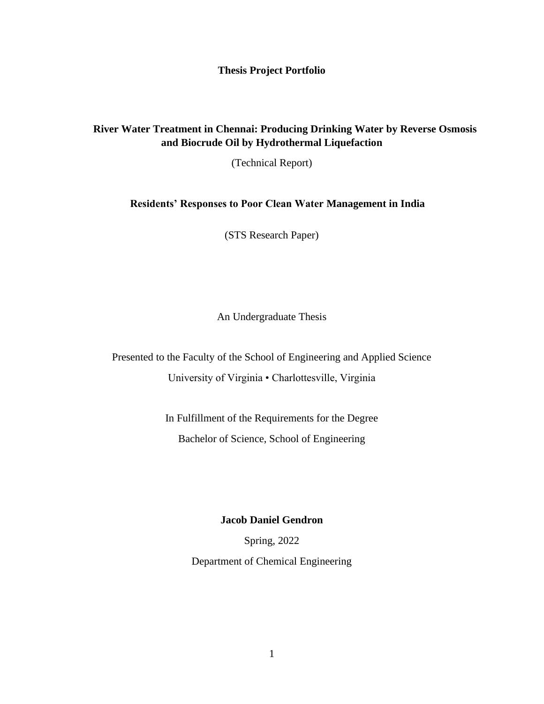**Thesis Project Portfolio**

## **River Water Treatment in Chennai: Producing Drinking Water by Reverse Osmosis and Biocrude Oil by Hydrothermal Liquefaction**

(Technical Report)

## **Residents' Responses to Poor Clean Water Management in India**

(STS Research Paper)

An Undergraduate Thesis

Presented to the Faculty of the School of Engineering and Applied Science University of Virginia • Charlottesville, Virginia

> In Fulfillment of the Requirements for the Degree Bachelor of Science, School of Engineering

> > **Jacob Daniel Gendron**

Spring, 2022

Department of Chemical Engineering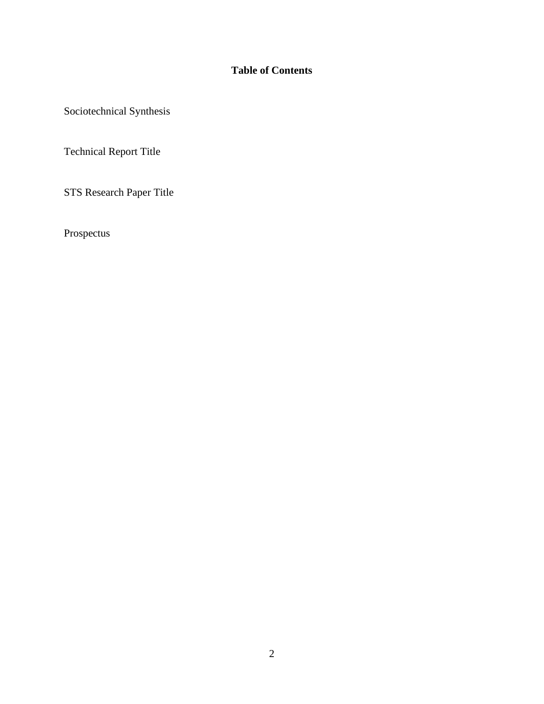## **Table of Contents**

Sociotechnical Synthesis

Technical Report Title

STS Research Paper Title

Prospectus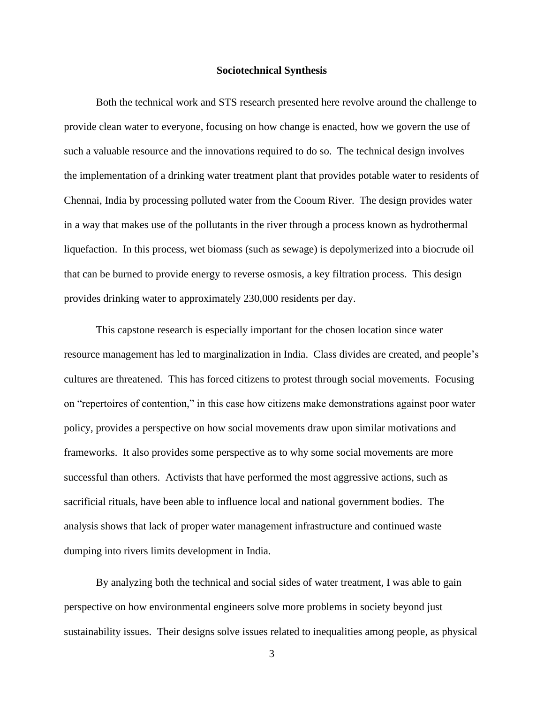## **Sociotechnical Synthesis**

Both the technical work and STS research presented here revolve around the challenge to provide clean water to everyone, focusing on how change is enacted, how we govern the use of such a valuable resource and the innovations required to do so. The technical design involves the implementation of a drinking water treatment plant that provides potable water to residents of Chennai, India by processing polluted water from the Cooum River. The design provides water in a way that makes use of the pollutants in the river through a process known as hydrothermal liquefaction. In this process, wet biomass (such as sewage) is depolymerized into a biocrude oil that can be burned to provide energy to reverse osmosis, a key filtration process. This design provides drinking water to approximately 230,000 residents per day.

This capstone research is especially important for the chosen location since water resource management has led to marginalization in India. Class divides are created, and people's cultures are threatened. This has forced citizens to protest through social movements. Focusing on "repertoires of contention," in this case how citizens make demonstrations against poor water policy, provides a perspective on how social movements draw upon similar motivations and frameworks. It also provides some perspective as to why some social movements are more successful than others. Activists that have performed the most aggressive actions, such as sacrificial rituals, have been able to influence local and national government bodies. The analysis shows that lack of proper water management infrastructure and continued waste dumping into rivers limits development in India.

By analyzing both the technical and social sides of water treatment, I was able to gain perspective on how environmental engineers solve more problems in society beyond just sustainability issues. Their designs solve issues related to inequalities among people, as physical

3